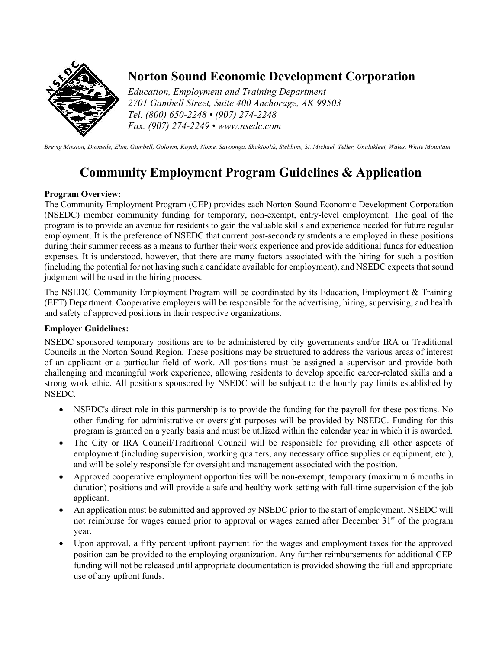

## **Norton Sound Economic Development Corporation**

*Education, Employment and Training Department 2701 Gambell Street, Suite 400 Anchorage, AK 99503 Tel. (800) 650-2248 • (907) 274-2248 Fax. (907) 274-2249 • www.nsedc.com* 

*Brevig Mission, Diomede, Elim, Gambell, Golovin, Koyuk, Nome, Savoonga, Shaktoolik, Stebbins, St. Michael, Teller, Unalakleet, Wales, White Mountain*

# **Community Employment Program Guidelines & Application**

### **Program Overview:**

The Community Employment Program (CEP) provides each Norton Sound Economic Development Corporation (NSEDC) member community funding for temporary, non-exempt, entry-level employment. The goal of the program is to provide an avenue for residents to gain the valuable skills and experience needed for future regular employment. It is the preference of NSEDC that current post-secondary students are employed in these positions during their summer recess as a means to further their work experience and provide additional funds for education expenses. It is understood, however, that there are many factors associated with the hiring for such a position (including the potential for not having such a candidate available for employment), and NSEDC expects that sound judgment will be used in the hiring process.

The NSEDC Community Employment Program will be coordinated by its Education, Employment & Training (EET) Department. Cooperative employers will be responsible for the advertising, hiring, supervising, and health and safety of approved positions in their respective organizations.

### **Employer Guidelines:**

NSEDC sponsored temporary positions are to be administered by city governments and/or IRA or Traditional Councils in the Norton Sound Region. These positions may be structured to address the various areas of interest of an applicant or a particular field of work. All positions must be assigned a supervisor and provide both challenging and meaningful work experience, allowing residents to develop specific career-related skills and a strong work ethic. All positions sponsored by NSEDC will be subject to the hourly pay limits established by NSEDC.

- NSEDC's direct role in this partnership is to provide the funding for the payroll for these positions. No other funding for administrative or oversight purposes will be provided by NSEDC. Funding for this program is granted on a yearly basis and must be utilized within the calendar year in which it is awarded.
- The City or IRA Council/Traditional Council will be responsible for providing all other aspects of employment (including supervision, working quarters, any necessary office supplies or equipment, etc.), and will be solely responsible for oversight and management associated with the position.
- Approved cooperative employment opportunities will be non-exempt, temporary (maximum 6 months in duration) positions and will provide a safe and healthy work setting with full-time supervision of the job applicant.
- An application must be submitted and approved by NSEDC prior to the start of employment. NSEDC will not reimburse for wages earned prior to approval or wages earned after December  $31<sup>st</sup>$  of the program year.
- Upon approval, a fifty percent upfront payment for the wages and employment taxes for the approved position can be provided to the employing organization. Any further reimbursements for additional CEP funding will not be released until appropriate documentation is provided showing the full and appropriate use of any upfront funds.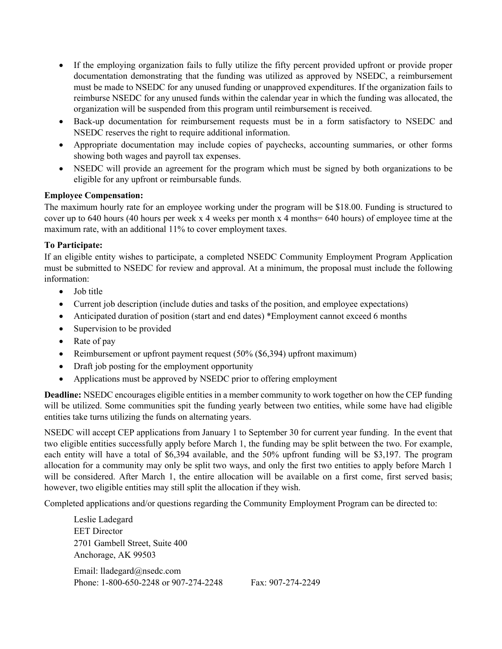- If the employing organization fails to fully utilize the fifty percent provided upfront or provide proper documentation demonstrating that the funding was utilized as approved by NSEDC, a reimbursement must be made to NSEDC for any unused funding or unapproved expenditures. If the organization fails to reimburse NSEDC for any unused funds within the calendar year in which the funding was allocated, the organization will be suspended from this program until reimbursement is received.
- Back-up documentation for reimbursement requests must be in a form satisfactory to NSEDC and NSEDC reserves the right to require additional information.
- Appropriate documentation may include copies of paychecks, accounting summaries, or other forms showing both wages and payroll tax expenses.
- NSEDC will provide an agreement for the program which must be signed by both organizations to be eligible for any upfront or reimbursable funds.

#### **Employee Compensation:**

The maximum hourly rate for an employee working under the program will be \$18.00. Funding is structured to cover up to 640 hours (40 hours per week x 4 weeks per month x 4 months= 640 hours) of employee time at the maximum rate, with an additional 11% to cover employment taxes.

#### **To Participate:**

If an eligible entity wishes to participate, a completed NSEDC Community Employment Program Application must be submitted to NSEDC for review and approval. At a minimum, the proposal must include the following information:

- Job title
- Current job description (include duties and tasks of the position, and employee expectations)
- Anticipated duration of position (start and end dates) \*Employment cannot exceed 6 months
- Supervision to be provided
- Rate of pay
- Reimbursement or upfront payment request (50% (\$6,394) upfront maximum)
- Draft job posting for the employment opportunity
- Applications must be approved by NSEDC prior to offering employment

**Deadline:** NSEDC encourages eligible entities in a member community to work together on how the CEP funding will be utilized. Some communities spit the funding yearly between two entities, while some have had eligible entities take turns utilizing the funds on alternating years.

NSEDC will accept CEP applications from January 1 to September 30 for current year funding. In the event that two eligible entities successfully apply before March 1, the funding may be split between the two. For example, each entity will have a total of \$6,394 available, and the 50% upfront funding will be \$3,197. The program allocation for a community may only be split two ways, and only the first two entities to apply before March 1 will be considered. After March 1, the entire allocation will be available on a first come, first served basis; however, two eligible entities may still split the allocation if they wish.

Completed applications and/or questions regarding the Community Employment Program can be directed to:

Leslie Ladegard EET Director 2701 Gambell Street, Suite 400 Anchorage, AK 99503 Email: lladegard@nsedc.com Phone: 1-800-650-2248 or 907-274-2248 Fax: 907-274-2249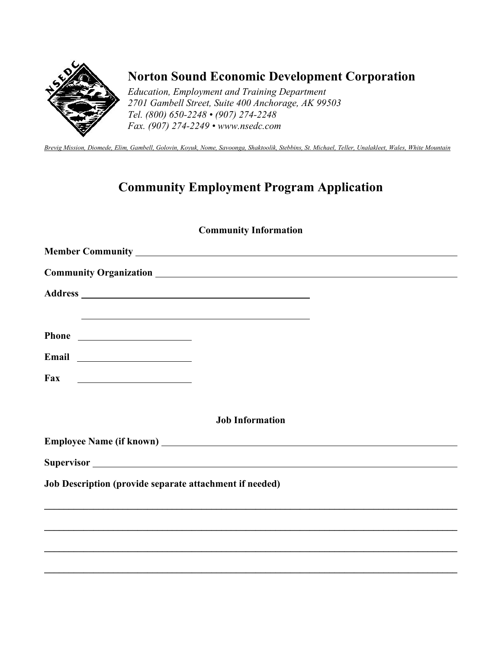

## **Norton Sound Economic Development Corporation**

*Education, Employment and Training Department 2701 Gambell Street, Suite 400 Anchorage, AK 99503 Tel. (800) 650-2248 • (907) 274-2248 Fax. (907) 274-2249 • www.nsedc.com* 

*Brevig Mission, Diomede, Elim, Gambell, Golovin, Koyuk, Nome, Savoonga, Shaktoolik, Stebbins, St. Michael, Teller, Unalakleet, Wales, White Mountain*

## **Community Employment Program Application**

### **Community Information**

|                                                          | <u> 1989 - Johann Stoff, amerikansk politiker (d. 1989)</u> |  |
|----------------------------------------------------------|-------------------------------------------------------------|--|
|                                                          |                                                             |  |
|                                                          |                                                             |  |
| Fax<br><u> 1980 - Andrea Brand, amerikansk politik (</u> |                                                             |  |
|                                                          |                                                             |  |
|                                                          | <b>Job Information</b>                                      |  |
|                                                          |                                                             |  |
|                                                          |                                                             |  |
| Job Description (provide separate attachment if needed)  |                                                             |  |
|                                                          |                                                             |  |
|                                                          |                                                             |  |
|                                                          |                                                             |  |
|                                                          |                                                             |  |

**\_\_\_\_\_\_\_\_\_\_\_\_\_\_\_\_\_\_\_\_\_\_\_\_\_\_\_\_\_\_\_\_\_\_\_\_\_\_\_\_\_\_\_\_\_\_\_\_\_\_\_\_\_\_\_\_\_\_\_\_\_\_\_\_\_\_\_\_\_\_\_\_\_\_\_\_\_\_\_\_\_\_\_\_**